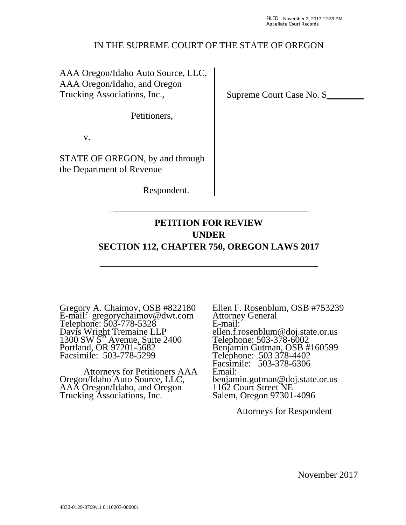### IN THE SUPREME COURT OF THE STATE OF OREGON

AAA Oregon/Idaho Auto Source, LLC, AAA Oregon/Idaho, and Oregon Trucking Associations, Inc.,

Petitioners,

v.

STATE OF OREGON, by and through the Department of Revenue

Respondent.

# **PETITION FOR REVIEW UNDER SECTION 112, CHAPTER 750, OREGON LAWS 2017**

\_\_\_\_\_\_\_\_\_\_\_\_\_\_\_\_\_\_\_\_\_\_\_\_\_\_\_\_\_\_\_\_\_\_\_\_\_\_\_\_\_\_\_\_\_\_\_

\_\_\_\_\_\_\_\_\_\_\_\_\_\_\_\_\_\_\_\_\_\_\_\_\_\_\_\_\_\_\_\_\_\_\_\_\_\_\_\_\_\_\_

Gregory A. Chaimov, OSB #822180 E-mail: gregorychaimov@dwt.com Telephone: 503-778-5328 Davis Wright Tremaine LLP  $1300 \text{ SW } 5^{\text{th}}$  Avenue, Suite 2400 Portland, OR 97201-5682 Facsimile: 503-778-5299

 Attorneys for Petitioners AAA Oregon/Idaho Auto Source, LLC, AAA Oregon/Idaho, and Oregon Trucking Associations, Inc.

Ellen F. Rosenblum, OSB #753239 Attorney General E-mail: ellen.f.rosenblum@doj.state.or.us Telephone: 503-378-6002 Benjamin Gutman, OSB #160599 Telephone: 503 378-4402 Facsimile: 503-378-6306 Email: benjamin.gutman@doj.state.or.us 1162 Court Street NE Salem, Oregon 97301-4096

Attorneys for Respondent

Supreme Court Case No. S\_\_\_\_\_\_\_\_

November 2017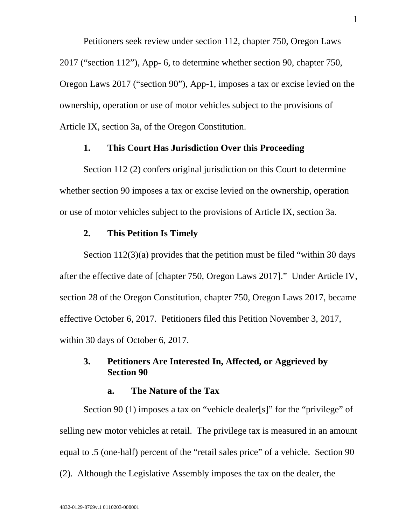Petitioners seek review under section 112, chapter 750, Oregon Laws 2017 ("section 112"), App- 6, to determine whether section 90, chapter 750, Oregon Laws 2017 ("section 90"), App-1, imposes a tax or excise levied on the ownership, operation or use of motor vehicles subject to the provisions of Article IX, section 3a, of the Oregon Constitution.

### **1. This Court Has Jurisdiction Over this Proceeding**

Section 112 (2) confers original jurisdiction on this Court to determine whether section 90 imposes a tax or excise levied on the ownership, operation or use of motor vehicles subject to the provisions of Article IX, section 3a.

#### **2. This Petition Is Timely**

Section 112(3)(a) provides that the petition must be filed "within 30 days after the effective date of [chapter 750, Oregon Laws 2017]." Under Article IV, section 28 of the Oregon Constitution, chapter 750, Oregon Laws 2017, became effective October 6, 2017. Petitioners filed this Petition November 3, 2017, within 30 days of October 6, 2017.

# **3. Petitioners Are Interested In, Affected, or Aggrieved by Section 90**

#### **a. The Nature of the Tax**

Section 90 (1) imposes a tax on "vehicle dealer[s]" for the "privilege" of selling new motor vehicles at retail. The privilege tax is measured in an amount equal to .5 (one-half) percent of the "retail sales price" of a vehicle. Section 90 (2). Although the Legislative Assembly imposes the tax on the dealer, the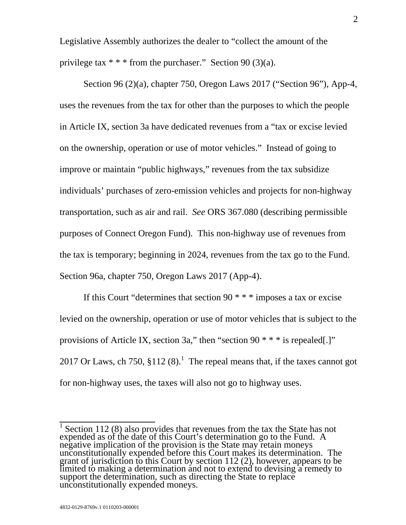Legislative Assembly authorizes the dealer to "collect the amount of the privilege tax  $* * *$  from the purchaser." Section 90 (3)(a).

Section 96 (2)(a), chapter 750, Oregon Laws 2017 ("Section 96"), App-4, uses the revenues from the tax for other than the purposes to which the people in Article IX, section 3a have dedicated revenues from a "tax or excise levied on the ownership, operation or use of motor vehicles." Instead of going to improve or maintain "public highways," revenues from the tax subsidize individuals' purchases of zero-emission vehicles and projects for non-highway transportation, such as air and rail. *See* ORS 367.080 (describing permissible purposes of Connect Oregon Fund). This non-highway use of revenues from the tax is temporary; beginning in 2024, revenues from the tax go to the Fund. Section 96a, chapter 750, Oregon Laws 2017 (App-4).

If this Court "determines that section 90  $***$  imposes a tax or excise levied on the ownership, operation or use of motor vehicles that is subject to the provisions of Article IX, section 3a," then "section 90  $* * *$  is repealed.]" 2017 Or Laws, ch 750,  $\S112(8)$ .<sup>1</sup> The repeal means that, if the taxes cannot got for non-highway uses, the taxes will also not go to highway uses.

<sup>&</sup>lt;sup>1</sup> Section 112 (8) also provides that revenues from the tax the State has not expended as of the date of this Court's determination go to the Fund. A negative implication of the provision is the State may retain moneys unconstitutionally expended before this Court makes its determination. The grant of jurisdiction to this Court by section 112 (2), however, appears to be limited to making a determination and not to extend to devising a remedy to support the determination, such as directing the State to replace u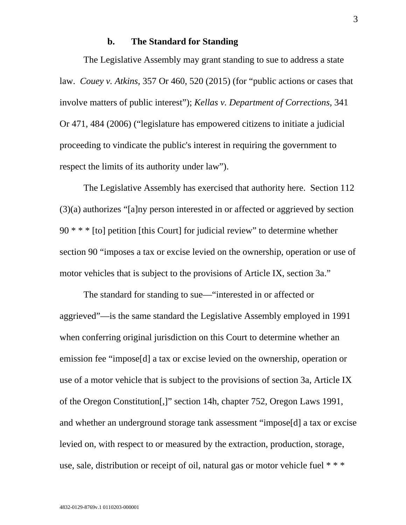#### **b. The Standard for Standing**

The Legislative Assembly may grant standing to sue to address a state law. *Couey v. Atkins*, 357 Or 460, 520 (2015) (for "public actions or cases that involve matters of public interest"); *Kellas v. Department of Corrections*, 341 Or 471, 484 (2006) ("legislature has empowered citizens to initiate a judicial proceeding to vindicate the public's interest in requiring the government to respect the limits of its authority under law").

The Legislative Assembly has exercised that authority here. Section 112 (3)(a) authorizes "[a]ny person interested in or affected or aggrieved by section  $90$  \* \* \* [to] petition [this Court] for judicial review" to determine whether section 90 "imposes a tax or excise levied on the ownership, operation or use of motor vehicles that is subject to the provisions of Article IX, section 3a."

The standard for standing to sue—"interested in or affected or aggrieved"—is the same standard the Legislative Assembly employed in 1991 when conferring original jurisdiction on this Court to determine whether an emission fee "impose[d] a tax or excise levied on the ownership, operation or use of a motor vehicle that is subject to the provisions of section 3a, Article IX of the Oregon Constitution[,]" section 14h, chapter 752, Oregon Laws 1991, and whether an underground storage tank assessment "impose[d] a tax or excise levied on, with respect to or measured by the extraction, production, storage, use, sale, distribution or receipt of oil, natural gas or motor vehicle fuel \* \* \*

3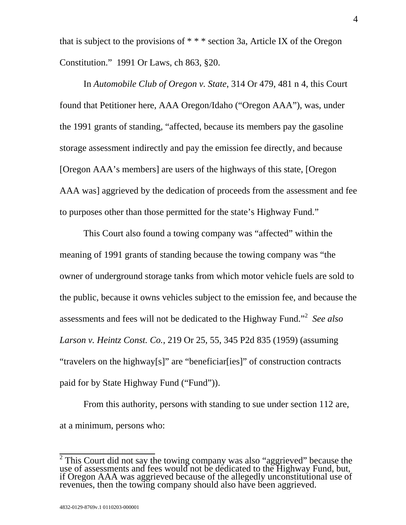that is subject to the provisions of  $***$  section 3a, Article IX of the Oregon Constitution." 1991 Or Laws, ch 863, §20.

In *Automobile Club of Oregon v. State*, 314 Or 479, 481 n 4, this Court found that Petitioner here, AAA Oregon/Idaho ("Oregon AAA"), was, under the 1991 grants of standing, "affected, because its members pay the gasoline storage assessment indirectly and pay the emission fee directly, and because [Oregon AAA's members] are users of the highways of this state, [Oregon AAA was] aggrieved by the dedication of proceeds from the assessment and fee to purposes other than those permitted for the state's Highway Fund."

This Court also found a towing company was "affected" within the meaning of 1991 grants of standing because the towing company was "the owner of underground storage tanks from which motor vehicle fuels are sold to the public, because it owns vehicles subject to the emission fee, and because the assessments and fees will not be dedicated to the Highway Fund."<sup>2</sup> *See also Larson v. Heintz Const. Co.*, 219 Or 25, 55, 345 P2d 835 (1959) (assuming "travelers on the highway[s]" are "beneficiar[ies]" of construction contracts paid for by State Highway Fund ("Fund")).

From this authority, persons with standing to sue under section 112 are, at a minimum, persons who:

<sup>&</sup>lt;sup>2</sup> This Court did not say the towing company was also "aggrieved" because the use of assessments and fees would not be dedicated to the Highway Fund, but, if Oregon AAA was aggrieved because of the allegedly unconstitutional use of revenues, then the towing company should also have been aggrieved.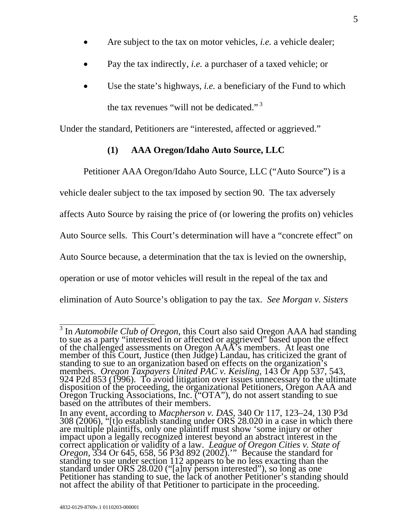- Are subject to the tax on motor vehicles, *i.e.* a vehicle dealer;
- Pay the tax indirectly, *i.e.* a purchaser of a taxed vehicle; or
- Use the state's highways, *i.e.* a beneficiary of the Fund to which the tax revenues "will not be dedicated." 3

Under the standard, Petitioners are "interested, affected or aggrieved."

# **(1) AAA Oregon/Idaho Auto Source, LLC**

Petitioner AAA Oregon/Idaho Auto Source, LLC ("Auto Source") is a

vehicle dealer subject to the tax imposed by section 90. The tax adversely

affects Auto Source by raising the price of (or lowering the profits on) vehicles

Auto Source sells. This Court's determination will have a "concrete effect" on

Auto Source because, a determination that the tax is levied on the ownership,

operation or use of motor vehicles will result in the repeal of the tax and

elimination of Auto Source's obligation to pay the tax. *See Morgan v. Sisters* 

 $\sqrt[3]{3}$  In *Automobile Club of Oregon*, this Court also said Oregon AAA had standing In Hatomobile Cab by Oregon, this Coart also said Oregon FREY had standing<br>to sue as a party "interested in or affected or aggrieved" based upon the effect<br>of the challenged assessments on Oregon AAA's members. At least on

In any event, according to *Macpherson v. DAS*, 340 Or 117, 123–24, 130 P3d 308 (2006), "[t]o establish standing under ORS 28.020 in a case in which there are multiple plaintiffs, only one plaintiff must show 'some injury or other impact upon a legally recognized interest beyond an abstract interest in the correct application or validity of a law. *League of Oregon Cities v. State of Oregon*, 334 Or 645, 658, 56 P3d 892 (2002)." Because the standard standing to sue under section 112 appears to be no less exacting than the<br>standard under ORS 28.020 ("[a]ny person interested"), so long as one<br>Petitioner has standing to sue, the lack of another Petitioner's standing shou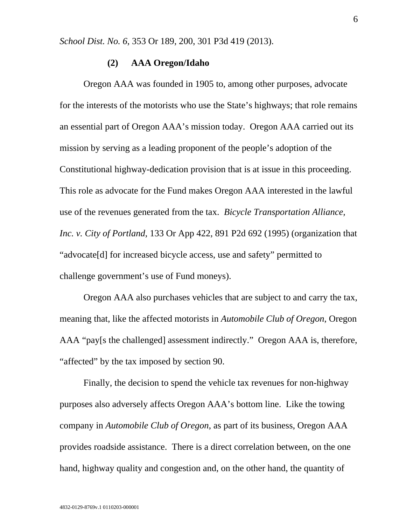*School Dist. No. 6*, 353 Or 189, 200, 301 P3d 419 (2013).

### **(2) AAA Oregon/Idaho**

Oregon AAA was founded in 1905 to, among other purposes, advocate for the interests of the motorists who use the State's highways; that role remains an essential part of Oregon AAA's mission today. Oregon AAA carried out its mission by serving as a leading proponent of the people's adoption of the Constitutional highway-dedication provision that is at issue in this proceeding. This role as advocate for the Fund makes Oregon AAA interested in the lawful use of the revenues generated from the tax. *Bicycle Transportation Alliance, Inc. v. City of Portland*, 133 Or App 422, 891 P2d 692 (1995) (organization that "advocate[d] for increased bicycle access, use and safety" permitted to challenge government's use of Fund moneys).

Oregon AAA also purchases vehicles that are subject to and carry the tax, meaning that, like the affected motorists in *Automobile Club of Oregon*, Oregon AAA "pay[s the challenged] assessment indirectly." Oregon AAA is, therefore, "affected" by the tax imposed by section 90.

Finally, the decision to spend the vehicle tax revenues for non-highway purposes also adversely affects Oregon AAA's bottom line. Like the towing company in *Automobile Club of Oregon*, as part of its business, Oregon AAA provides roadside assistance. There is a direct correlation between, on the one hand, highway quality and congestion and, on the other hand, the quantity of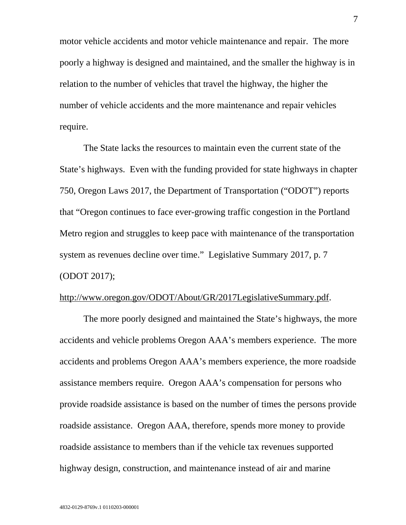motor vehicle accidents and motor vehicle maintenance and repair. The more poorly a highway is designed and maintained, and the smaller the highway is in relation to the number of vehicles that travel the highway, the higher the number of vehicle accidents and the more maintenance and repair vehicles require.

The State lacks the resources to maintain even the current state of the State's highways. Even with the funding provided for state highways in chapter 750, Oregon Laws 2017, the Department of Transportation ("ODOT") reports that "Oregon continues to face ever-growing traffic congestion in the Portland Metro region and struggles to keep pace with maintenance of the transportation system as revenues decline over time." Legislative Summary 2017, p. 7 (ODOT 2017);

### http://www.oregon.gov/ODOT/About/GR/2017LegislativeSummary.pdf.

The more poorly designed and maintained the State's highways, the more accidents and vehicle problems Oregon AAA's members experience. The more accidents and problems Oregon AAA's members experience, the more roadside assistance members require. Oregon AAA's compensation for persons who provide roadside assistance is based on the number of times the persons provide roadside assistance. Oregon AAA, therefore, spends more money to provide roadside assistance to members than if the vehicle tax revenues supported highway design, construction, and maintenance instead of air and marine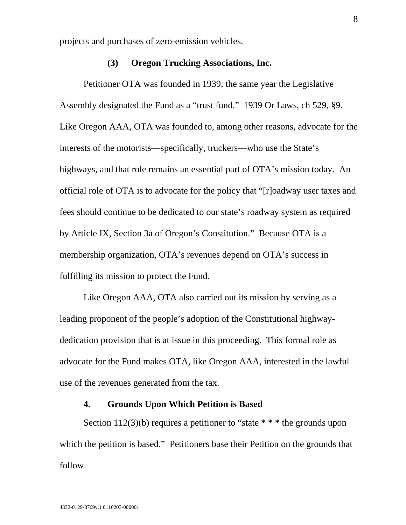projects and purchases of zero-emission vehicles.

### **(3) Oregon Trucking Associations, Inc.**

Petitioner OTA was founded in 1939, the same year the Legislative Assembly designated the Fund as a "trust fund." 1939 Or Laws, ch 529, §9. Like Oregon AAA, OTA was founded to, among other reasons, advocate for the interests of the motorists—specifically, truckers—who use the State's highways, and that role remains an essential part of OTA's mission today. An official role of OTA is to advocate for the policy that "[r]oadway user taxes and fees should continue to be dedicated to our state's roadway system as required by Article IX, Section 3a of Oregon's Constitution." Because OTA is a membership organization, OTA's revenues depend on OTA's success in fulfilling its mission to protect the Fund.

Like Oregon AAA, OTA also carried out its mission by serving as a leading proponent of the people's adoption of the Constitutional highwaydedication provision that is at issue in this proceeding. This formal role as advocate for the Fund makes OTA, like Oregon AAA, interested in the lawful use of the revenues generated from the tax.

### **4. Grounds Upon Which Petition is Based**

Section 112(3)(b) requires a petitioner to "state  $* * *$  the grounds upon which the petition is based." Petitioners base their Petition on the grounds that follow.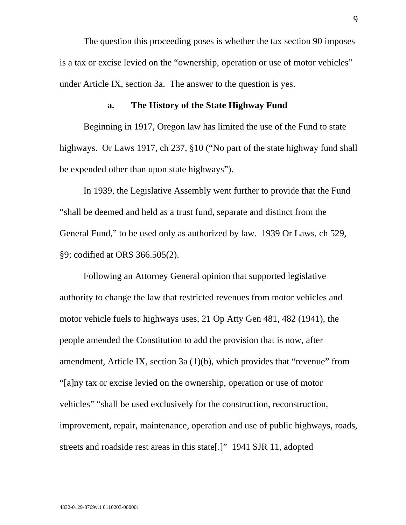The question this proceeding poses is whether the tax section 90 imposes is a tax or excise levied on the "ownership, operation or use of motor vehicles" under Article IX, section 3a. The answer to the question is yes.

#### **a. The History of the State Highway Fund**

Beginning in 1917, Oregon law has limited the use of the Fund to state highways. Or Laws 1917, ch 237, §10 ("No part of the state highway fund shall be expended other than upon state highways").

In 1939, the Legislative Assembly went further to provide that the Fund "shall be deemed and held as a trust fund, separate and distinct from the General Fund," to be used only as authorized by law. 1939 Or Laws, ch 529, §9; codified at ORS 366.505(2).

Following an Attorney General opinion that supported legislative authority to change the law that restricted revenues from motor vehicles and motor vehicle fuels to highways uses, 21 Op Atty Gen 481, 482 (1941), the people amended the Constitution to add the provision that is now, after amendment, Article IX, section 3a (1)(b), which provides that "revenue" from "[a]ny tax or excise levied on the ownership, operation or use of motor vehicles" "shall be used exclusively for the construction, reconstruction, improvement, repair, maintenance, operation and use of public highways, roads, streets and roadside rest areas in this state[.]" 1941 SJR 11, adopted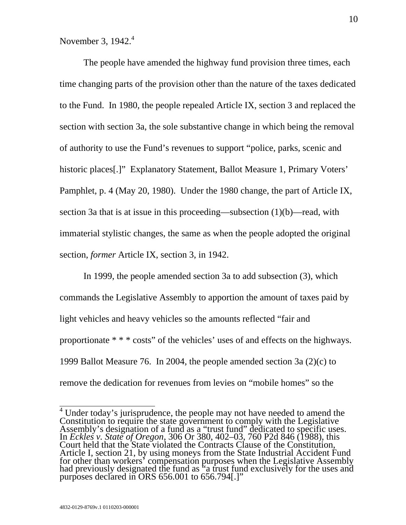November 3,  $1942.<sup>4</sup>$ 

The people have amended the highway fund provision three times, each time changing parts of the provision other than the nature of the taxes dedicated to the Fund. In 1980, the people repealed Article IX, section 3 and replaced the section with section 3a, the sole substantive change in which being the removal of authority to use the Fund's revenues to support "police, parks, scenic and historic places<sup>[.]"</sup> Explanatory Statement, Ballot Measure 1, Primary Voters' Pamphlet, p. 4 (May 20, 1980). Under the 1980 change, the part of Article IX, section 3a that is at issue in this proceeding—subsection (1)(b)—read, with immaterial stylistic changes, the same as when the people adopted the original section, *former* Article IX, section 3, in 1942.

In 1999, the people amended section 3a to add subsection (3), which commands the Legislative Assembly to apportion the amount of taxes paid by light vehicles and heavy vehicles so the amounts reflected "fair and proportionate \* \* \* costs" of the vehicles' uses of and effects on the highways. 1999 Ballot Measure 76. In 2004, the people amended section 3a (2)(c) to remove the dedication for revenues from levies on "mobile homes" so the

<sup>&</sup>lt;sup>4</sup> Under today's jurisprudence, the people may not have needed to amend the Constitution to require the state government to comply with the Legislative<br>Assembly's designation of a fund as a "trust fund" dedicated to specific uses.<br>In *Eckles v. State of Oregon*, 306 Or 380, 402–03, 760 P2d 846 (19 Article I, section 21, by using moneys from the State Industrial Accident Fund for other than workers' compensation purposes when the Legislative Assembly had previously designated the fund as "a trust fund exclusively for the uses and purposes declared in ORS 656.001 to 656.794[.]"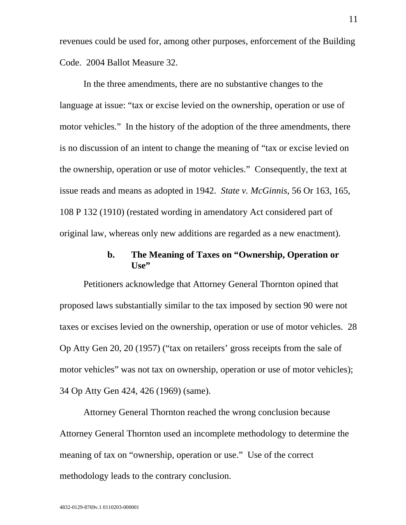revenues could be used for, among other purposes, enforcement of the Building Code. 2004 Ballot Measure 32.

In the three amendments, there are no substantive changes to the language at issue: "tax or excise levied on the ownership, operation or use of motor vehicles." In the history of the adoption of the three amendments, there is no discussion of an intent to change the meaning of "tax or excise levied on the ownership, operation or use of motor vehicles." Consequently, the text at issue reads and means as adopted in 1942. *State v. McGinnis*, 56 Or 163, 165, 108 P 132 (1910) (restated wording in amendatory Act considered part of original law, whereas only new additions are regarded as a new enactment).

# **b. The Meaning of Taxes on "Ownership, Operation or Use"**

Petitioners acknowledge that Attorney General Thornton opined that proposed laws substantially similar to the tax imposed by section 90 were not taxes or excises levied on the ownership, operation or use of motor vehicles. 28 Op Atty Gen 20, 20 (1957) ("tax on retailers' gross receipts from the sale of motor vehicles" was not tax on ownership, operation or use of motor vehicles); 34 Op Atty Gen 424, 426 (1969) (same).

Attorney General Thornton reached the wrong conclusion because Attorney General Thornton used an incomplete methodology to determine the meaning of tax on "ownership, operation or use." Use of the correct methodology leads to the contrary conclusion.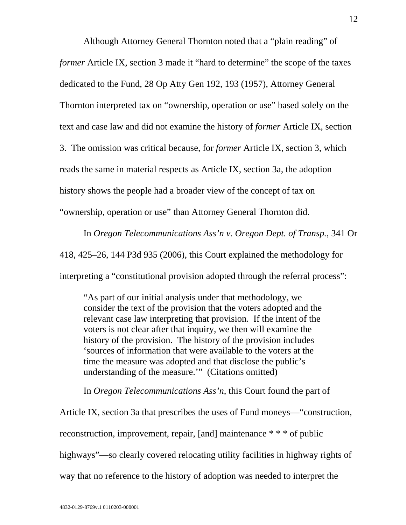Although Attorney General Thornton noted that a "plain reading" of *former* Article IX, section 3 made it "hard to determine" the scope of the taxes dedicated to the Fund, 28 Op Atty Gen 192, 193 (1957), Attorney General Thornton interpreted tax on "ownership, operation or use" based solely on the text and case law and did not examine the history of *former* Article IX, section 3. The omission was critical because, for *former* Article IX, section 3, which reads the same in material respects as Article IX, section 3a, the adoption history shows the people had a broader view of the concept of tax on "ownership, operation or use" than Attorney General Thornton did.

In *Oregon Telecommunications Ass'n v. Oregon Dept. of Transp.*, 341 Or 418, 425–26, 144 P3d 935 (2006), this Court explained the methodology for interpreting a "constitutional provision adopted through the referral process":

"As part of our initial analysis under that methodology, we consider the text of the provision that the voters adopted and the relevant case law interpreting that provision. If the intent of the voters is not clear after that inquiry, we then will examine the history of the provision. The history of the provision includes 'sources of information that were available to the voters at the time the measure was adopted and that disclose the public's understanding of the measure.'" (Citations omitted)

In *Oregon Telecommunications Ass'n*, this Court found the part of

Article IX, section 3a that prescribes the uses of Fund moneys—"construction, reconstruction, improvement, repair, [and] maintenance \* \* \* of public highways"—so clearly covered relocating utility facilities in highway rights of way that no reference to the history of adoption was needed to interpret the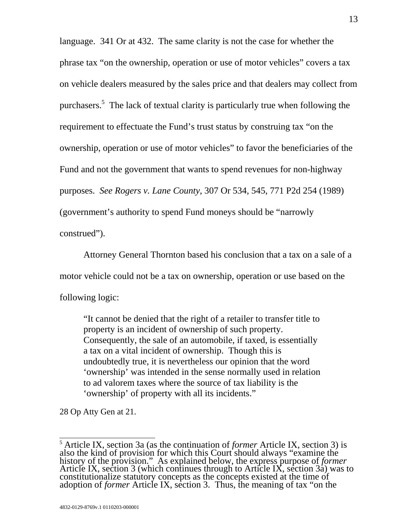language. 341 Or at 432. The same clarity is not the case for whether the phrase tax "on the ownership, operation or use of motor vehicles" covers a tax on vehicle dealers measured by the sales price and that dealers may collect from purchasers.<sup>5</sup> The lack of textual clarity is particularly true when following the requirement to effectuate the Fund's trust status by construing tax "on the ownership, operation or use of motor vehicles" to favor the beneficiaries of the Fund and not the government that wants to spend revenues for non-highway purposes. *See Rogers v. Lane County*, 307 Or 534, 545, 771 P2d 254 (1989) (government's authority to spend Fund moneys should be "narrowly construed").

Attorney General Thornton based his conclusion that a tax on a sale of a motor vehicle could not be a tax on ownership, operation or use based on the following logic:

"It cannot be denied that the right of a retailer to transfer title to property is an incident of ownership of such property. Consequently, the sale of an automobile, if taxed, is essentially a tax on a vital incident of ownership. Though this is undoubtedly true, it is nevertheless our opinion that the word 'ownership' was intended in the sense normally used in relation to ad valorem taxes where the source of tax liability is the 'ownership' of property with all its incidents."

28 Op Atty Gen at 21.

 $\overline{\phantom{a}}$ <sup>5</sup> Article IX, section 3a (as the continuation of *former* Article IX, section 3) is also the kind of provision for which this Court should always "examine the history of the provision." As explained below, the express p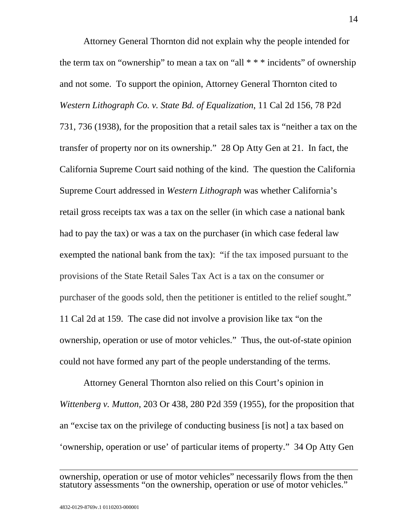Attorney General Thornton did not explain why the people intended for the term tax on "ownership" to mean a tax on "all  $***$  incidents" of ownership and not some. To support the opinion, Attorney General Thornton cited to *Western Lithograph Co. v. State Bd. of Equalization*, 11 Cal 2d 156, 78 P2d 731, 736 (1938), for the proposition that a retail sales tax is "neither a tax on the transfer of property nor on its ownership." 28 Op Atty Gen at 21. In fact, the California Supreme Court said nothing of the kind. The question the California Supreme Court addressed in *Western Lithograph* was whether California's retail gross receipts tax was a tax on the seller (in which case a national bank had to pay the tax) or was a tax on the purchaser (in which case federal law exempted the national bank from the tax): "if the tax imposed pursuant to the provisions of the State Retail Sales Tax Act is a tax on the consumer or purchaser of the goods sold, then the petitioner is entitled to the relief sought." 11 Cal 2d at 159. The case did not involve a provision like tax "on the ownership, operation or use of motor vehicles." Thus, the out-of-state opinion could not have formed any part of the people understanding of the terms.

Attorney General Thornton also relied on this Court's opinion in *Wittenberg v. Mutton*, 203 Or 438, 280 P2d 359 (1955), for the proposition that an "excise tax on the privilege of conducting business [is not] a tax based on 'ownership, operation or use' of particular items of property." 34 Op Atty Gen

 $\overline{a}$ ownership, operation or use of motor vehicles" necessarily flows from the then statutory assessments "on the ownership, operation or use of motor vehicles."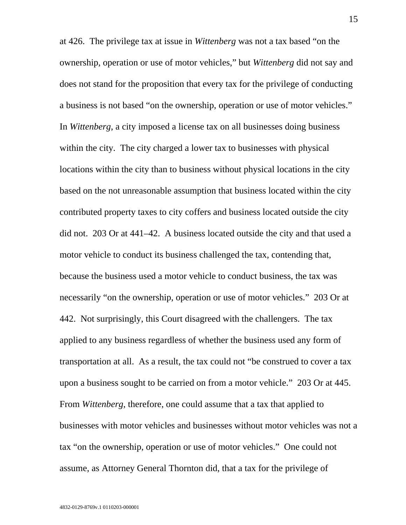at 426. The privilege tax at issue in *Wittenberg* was not a tax based "on the ownership, operation or use of motor vehicles," but *Wittenberg* did not say and does not stand for the proposition that every tax for the privilege of conducting a business is not based "on the ownership, operation or use of motor vehicles." In *Wittenberg*, a city imposed a license tax on all businesses doing business within the city. The city charged a lower tax to businesses with physical locations within the city than to business without physical locations in the city based on the not unreasonable assumption that business located within the city contributed property taxes to city coffers and business located outside the city did not. 203 Or at 441–42. A business located outside the city and that used a motor vehicle to conduct its business challenged the tax, contending that, because the business used a motor vehicle to conduct business, the tax was necessarily "on the ownership, operation or use of motor vehicles." 203 Or at 442. Not surprisingly, this Court disagreed with the challengers. The tax applied to any business regardless of whether the business used any form of transportation at all. As a result, the tax could not "be construed to cover a tax upon a business sought to be carried on from a motor vehicle." 203 Or at 445. From *Wittenberg*, therefore, one could assume that a tax that applied to businesses with motor vehicles and businesses without motor vehicles was not a tax "on the ownership, operation or use of motor vehicles." One could not assume, as Attorney General Thornton did, that a tax for the privilege of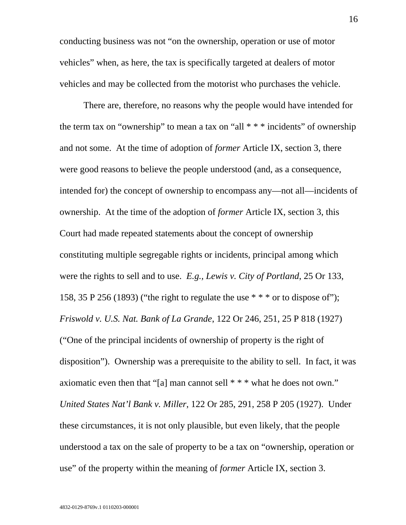conducting business was not "on the ownership, operation or use of motor vehicles" when, as here, the tax is specifically targeted at dealers of motor vehicles and may be collected from the motorist who purchases the vehicle.

There are, therefore, no reasons why the people would have intended for the term tax on "ownership" to mean a tax on "all  $* * *$  incidents" of ownership and not some. At the time of adoption of *former* Article IX, section 3, there were good reasons to believe the people understood (and, as a consequence, intended for) the concept of ownership to encompass any—not all—incidents of ownership. At the time of the adoption of *former* Article IX, section 3, this Court had made repeated statements about the concept of ownership constituting multiple segregable rights or incidents, principal among which were the rights to sell and to use. *E.g., Lewis v. City of Portland*, 25 Or 133, 158, 35 P 256 (1893) ("the right to regulate the use  $***$  or to dispose of"); *Friswold v. U.S. Nat. Bank of La Grande*, 122 Or 246, 251, 25 P 818 (1927) ("One of the principal incidents of ownership of property is the right of disposition"). Ownership was a prerequisite to the ability to sell. In fact, it was axiomatic even then that "[a] man cannot sell \* \* \* what he does not own." *United States Nat'l Bank v. Miller*, 122 Or 285, 291, 258 P 205 (1927). Under these circumstances, it is not only plausible, but even likely, that the people understood a tax on the sale of property to be a tax on "ownership, operation or use" of the property within the meaning of *former* Article IX, section 3.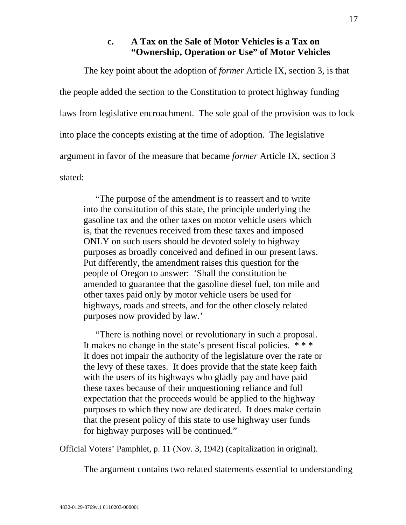# **c. A Tax on the Sale of Motor Vehicles is a Tax on "Ownership, Operation or Use" of Motor Vehicles**

The key point about the adoption of *former* Article IX, section 3, is that the people added the section to the Constitution to protect highway funding laws from legislative encroachment. The sole goal of the provision was to lock into place the concepts existing at the time of adoption. The legislative argument in favor of the measure that became *former* Article IX, section 3 stated:

"The purpose of the amendment is to reassert and to write into the constitution of this state, the principle underlying the gasoline tax and the other taxes on motor vehicle users which is, that the revenues received from these taxes and imposed ONLY on such users should be devoted solely to highway purposes as broadly conceived and defined in our present laws. Put differently, the amendment raises this question for the people of Oregon to answer: 'Shall the constitution be amended to guarantee that the gasoline diesel fuel, ton mile and other taxes paid only by motor vehicle users be used for highways, roads and streets, and for the other closely related purposes now provided by law.'

"There is nothing novel or revolutionary in such a proposal. It makes no change in the state's present fiscal policies. \* \* \* It does not impair the authority of the legislature over the rate or the levy of these taxes. It does provide that the state keep faith with the users of its highways who gladly pay and have paid these taxes because of their unquestioning reliance and full expectation that the proceeds would be applied to the highway purposes to which they now are dedicated. It does make certain that the present policy of this state to use highway user funds for highway purposes will be continued."

Official Voters' Pamphlet, p. 11 (Nov. 3, 1942) (capitalization in original).

The argument contains two related statements essential to understanding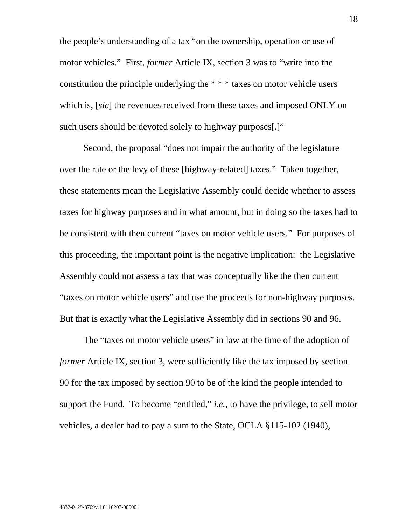the people's understanding of a tax "on the ownership, operation or use of motor vehicles." First, *former* Article IX, section 3 was to "write into the constitution the principle underlying the \* \* \* taxes on motor vehicle users which is, [*sic*] the revenues received from these taxes and imposed ONLY on such users should be devoted solely to highway purposes[.]"

Second, the proposal "does not impair the authority of the legislature over the rate or the levy of these [highway-related] taxes." Taken together, these statements mean the Legislative Assembly could decide whether to assess taxes for highway purposes and in what amount, but in doing so the taxes had to be consistent with then current "taxes on motor vehicle users." For purposes of this proceeding, the important point is the negative implication: the Legislative Assembly could not assess a tax that was conceptually like the then current "taxes on motor vehicle users" and use the proceeds for non-highway purposes. But that is exactly what the Legislative Assembly did in sections 90 and 96.

The "taxes on motor vehicle users" in law at the time of the adoption of *former* Article IX, section 3, were sufficiently like the tax imposed by section 90 for the tax imposed by section 90 to be of the kind the people intended to support the Fund. To become "entitled," *i.e.*, to have the privilege, to sell motor vehicles, a dealer had to pay a sum to the State, OCLA §115-102 (1940),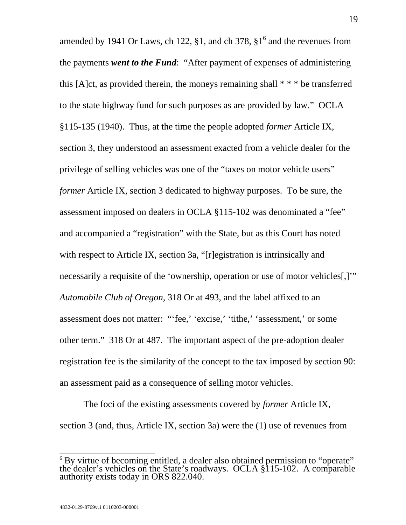amended by 1941 Or Laws, ch 122,  $\S1$ , and ch 378,  $\S1^6$  and the revenues from the payments *went to the Fund*: "After payment of expenses of administering this [A]ct, as provided therein, the moneys remaining shall \* \* \* be transferred to the state highway fund for such purposes as are provided by law." OCLA §115-135 (1940). Thus, at the time the people adopted *former* Article IX, section 3, they understood an assessment exacted from a vehicle dealer for the privilege of selling vehicles was one of the "taxes on motor vehicle users" *former* Article IX, section 3 dedicated to highway purposes. To be sure, the assessment imposed on dealers in OCLA §115-102 was denominated a "fee" and accompanied a "registration" with the State, but as this Court has noted with respect to Article IX, section 3a, "[r]egistration is intrinsically and necessarily a requisite of the 'ownership, operation or use of motor vehicles[,]'" *Automobile Club of Oregon*, 318 Or at 493, and the label affixed to an assessment does not matter: "'fee,' 'excise,' 'tithe,' 'assessment,' or some other term." 318 Or at 487. The important aspect of the pre-adoption dealer registration fee is the similarity of the concept to the tax imposed by section 90: an assessment paid as a consequence of selling motor vehicles.

The foci of the existing assessments covered by *former* Article IX, section 3 (and, thus, Article IX, section 3a) were the (1) use of revenues from

 $\overline{\phantom{a}}$  $\,^6$  By virtue of becoming entitled, a dealer also obtained permission to "operate" the dealer's vehicles on the State's roadways. OCLA  $\S115-102$ . A comparable authority exists today in ORS 822.040.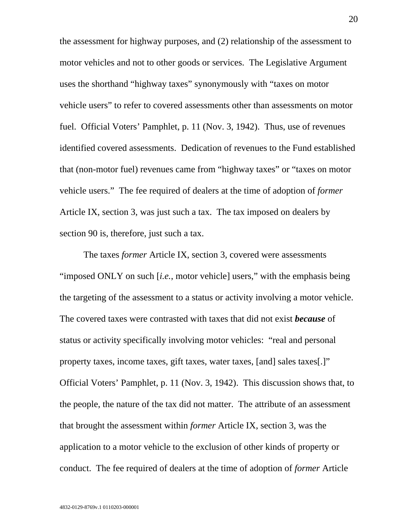the assessment for highway purposes, and (2) relationship of the assessment to motor vehicles and not to other goods or services. The Legislative Argument uses the shorthand "highway taxes" synonymously with "taxes on motor vehicle users" to refer to covered assessments other than assessments on motor fuel. Official Voters' Pamphlet, p. 11 (Nov. 3, 1942). Thus, use of revenues identified covered assessments. Dedication of revenues to the Fund established that (non-motor fuel) revenues came from "highway taxes" or "taxes on motor vehicle users." The fee required of dealers at the time of adoption of *former* Article IX, section 3, was just such a tax. The tax imposed on dealers by section 90 is, therefore, just such a tax.

The taxes *former* Article IX, section 3, covered were assessments "imposed ONLY on such [*i.e.*, motor vehicle] users," with the emphasis being the targeting of the assessment to a status or activity involving a motor vehicle. The covered taxes were contrasted with taxes that did not exist *because* of status or activity specifically involving motor vehicles: "real and personal property taxes, income taxes, gift taxes, water taxes, [and] sales taxes[.]" Official Voters' Pamphlet, p. 11 (Nov. 3, 1942). This discussion shows that, to the people, the nature of the tax did not matter. The attribute of an assessment that brought the assessment within *former* Article IX, section 3, was the application to a motor vehicle to the exclusion of other kinds of property or conduct. The fee required of dealers at the time of adoption of *former* Article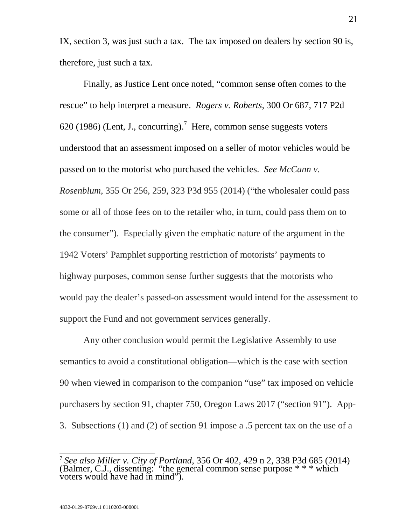IX, section 3, was just such a tax. The tax imposed on dealers by section 90 is, therefore, just such a tax.

Finally, as Justice Lent once noted, "common sense often comes to the rescue" to help interpret a measure. *Rogers v. Roberts*, 300 Or 687, 717 P2d 620 (1986) (Lent, J., concurring).<sup>7</sup> Here, common sense suggests voters understood that an assessment imposed on a seller of motor vehicles would be passed on to the motorist who purchased the vehicles. *See McCann v. Rosenblum*, 355 Or 256, 259, 323 P3d 955 (2014) ("the wholesaler could pass some or all of those fees on to the retailer who, in turn, could pass them on to the consumer"). Especially given the emphatic nature of the argument in the 1942 Voters' Pamphlet supporting restriction of motorists' payments to highway purposes, common sense further suggests that the motorists who would pay the dealer's passed-on assessment would intend for the assessment to support the Fund and not government services generally.

Any other conclusion would permit the Legislative Assembly to use semantics to avoid a constitutional obligation—which is the case with section 90 when viewed in comparison to the companion "use" tax imposed on vehicle purchasers by section 91, chapter 750, Oregon Laws 2017 ("section 91"). App-3. Subsections (1) and (2) of section 91 impose a .5 percent tax on the use of a

 $\overline{a}$ <sup>7</sup> *See also Miller v. City of Portland*, 356 Or 402, 429 n 2, 338 P3d 685 (2014) (Balmer, C.J., dissenting: "the general common sense purpose \* \* \* which voters would have had in mind").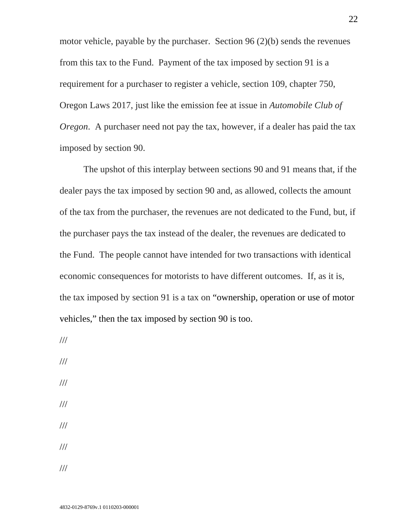motor vehicle, payable by the purchaser. Section 96 (2)(b) sends the revenues from this tax to the Fund. Payment of the tax imposed by section 91 is a requirement for a purchaser to register a vehicle, section 109, chapter 750, Oregon Laws 2017, just like the emission fee at issue in *Automobile Club of Oregon*. A purchaser need not pay the tax, however, if a dealer has paid the tax imposed by section 90.

The upshot of this interplay between sections 90 and 91 means that, if the dealer pays the tax imposed by section 90 and, as allowed, collects the amount of the tax from the purchaser, the revenues are not dedicated to the Fund, but, if the purchaser pays the tax instead of the dealer, the revenues are dedicated to the Fund. The people cannot have intended for two transactions with identical economic consequences for motorists to have different outcomes. If, as it is, the tax imposed by section 91 is a tax on "ownership, operation or use of motor vehicles," then the tax imposed by section 90 is too.

///

///

///

- ///
- ///
- ///
- ///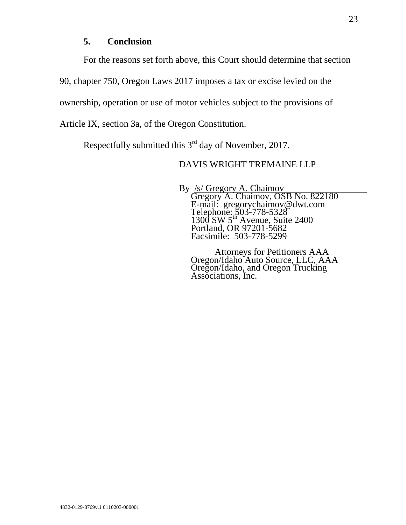### **5. Conclusion**

For the reasons set forth above, this Court should determine that section

90, chapter 750, Oregon Laws 2017 imposes a tax or excise levied on the

ownership, operation or use of motor vehicles subject to the provisions of

Article IX, section 3a, of the Oregon Constitution.

Respectfully submitted this  $3<sup>rd</sup>$  day of November, 2017.

# DAVIS WRIGHT TREMAINE LLP

By /s/ Gregory A. Chaimov<br>Gregory A. Chaimov, OSB No. 822180 E-mail: gregorychaimov@dwt.com Telephone: 503-778-5328  $1300 \text{ SW } 5^{\text{th}}$  Avenue, Suite 2400 Portland, OR 97201-5682 Facsimile: 503-778-5299

Attorneys for Petitioners AAA Oregon/Idaho Auto Source, LLC, AAA Oregon/Idaho, and Oregon Trucking Associations, Inc.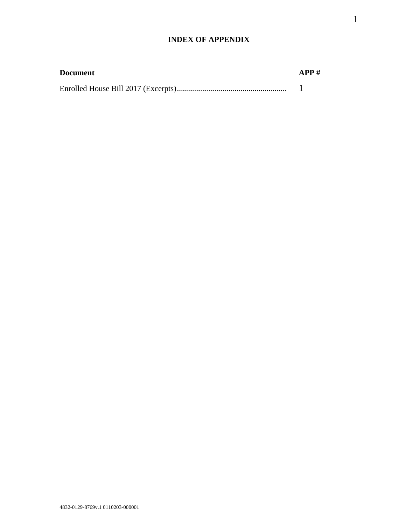### **INDEX OF APPENDIX**

| <b>Document</b> | APP# |
|-----------------|------|
|                 |      |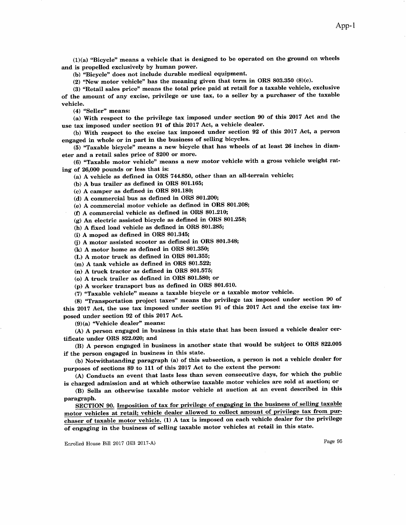$(1)(a)$  "Bicycle" means a vehicle that is designed to be operated on the ground on wheels and is propelled exclusively by human power.

(b) 'Bicycle" does not include durable medical equipment

(2) "New motor vehicle" has the meaning given that term in ORS 803.350  $(8)(c)$ .

(3) "Retail sales price" means the total price paid at retail for a taxable vehicle, exclusive of the amount of any excise, privilege or use tax, to a seller by a purchaser of the taxable vehicle.

 $(4)$  "Seller" means:

(a) With respect to the privilege tax imposed under section 90 of this 2OL7 Aet and the use tax imposed under section 91 of this 2017 Act, a vehicle dealer.

(b) With respect to the excise tax imposed under section 92 of this 2017 Act, a person engaged in whole or in part in the business of selling bicycles.

(5) ,"Iaxable bicycle" means a new bicycle that has wheels of at least 26 inches in diam' eter and a retail sales price of \$200 or more.

(6) "Taxable motor vehicle" means a new motor vehicle with a gross vehicle weight rating of 26,000 pounds or less that is:

(a) A vehicle as defined in oRS 744.850, other than an all-terrain vehicle;

(b) A bus trailer as defined in ORS 801.165;

(c) A camper as defrned in OBS 801.180;

(d) A commercial bus as defrned in OBS 801.200;

(e) A commercial motor vehicle as defined in ORS 801.208;

(f) A commercial vehicle as defined in ORS 801.210;

(g) An electric assisted bicycle as defined in ORS 801.258;

(h) A fixed load vehicle as defined in ORS 801.285;

(i) A moped as defrned in ORS 801.845;

0) A motor assisted scooter as defrned in ORS 801.348;

(k) A motor home as defrned in ORS 801.350;

(L) A motor truck as defined in ORS 801.355;

(m) A tank vehicle as defrned in ORS 8O1,522;

 $(n)$  A truck tractor as defined in ORS 801.575;

(o) A truck trailer as defrned in ORS 801.580; or

 $(p)$  A worker transport bus as defined in ORS 801.610.

(7) "Taxable vehicle" means a taxable bicycle or a taxable motor vehicle.

(8) "Transportation project taxes" means the privilege tax imposed under section 90 of this 2017 Act, the use tax imposed under section 91 of this 2017 Act and the excise tax imposed under section 92 of this 2Ol7 Act,

(9)(a) "Vehicle dealer" means:

(A) A person engaged in business in this state that has been issued a vehicle dealer cer' tificate under ORS 822.020; and

(B) A person engaged in business in another state that would be subject to ORS 822.005 if the person engaged in business in this state.

(b) Notwithstanding paragraph (a) of this subsection, a person is not a vehicle dealer for purposes of sections 89 to 111 of this 2017 Act to the extent the person:

(A) Conducts an event that lasts less than seven consecutive days, for which the public is charged admission and at which otherwise taxable motor vehicles are sold at auction; or

(B) Sells an otherwise taxable motor vehicle at auction at an event described in this paragraph.

SECTION 90. Imposition of tax for privilege of engaging in the business of selling taxable motor vehicles at retail; vehicle dealer allowed to collect amount of privilege tax from purchaser of taxable motor vehicle. (1) A tax is imposed on each vehicle dealer for the privilege of engaging in the business of selling taxable motor vehicles at retail in this state.

Enrolled House Bill 2017 (IIB 2017-A)

Page 95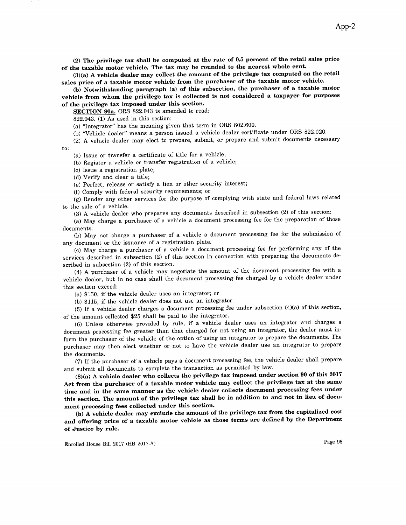(2) The privilege tax shall be computed at the rate of 0.5 percent of the retail sales price of the taxable motor vehicle. The tax may be rounded to the nearest whole cent.

(3)(a) A vehicle dealer may collect the amount of the privilege tax computed on the retail sales price of a taxable motor vehicle from the purchaser of the taxable motor vehicle-

(b) Notwithstanding paragraph (a) of this subsection, the purchaser of a taxable motor vehicle from whom the privilege tax is collected is not considered a taxpayer for purposes of the privilege tax imposed under this section.

SECTION 90a. ORS 822.043 is amended to read:

 $822.043$ . (1) As used in this section:

(a) "Integrator" has the meaning given that term in ORS 802.600.

(b) "Vehicle dealer" means a person issued a vehicle dealer certificate under ORS 822.020.

(2) A vehicle dealer may elect to prepare, submit, or prepare and submit documents necessary to:

(a) Issue or transfer a certificate of title for a vehicle;

(b) Register a vehicle or transfer registration of a vehicle;

(c) Issue a registration Plate;

(d) Verify and clear a title;

(e) Perfect, release or satisfy a lien or other security interest;

(Ð Comply with federal security requirements; or

(g) Render any other services for the purpose of complying with state and federal laws related to the sale of a vehicle.

 $(3)$  A vehicle dealer who prepares any documents described in subsection  $(2)$  of this section:

(a) May charge a purchaser of a vehicle a document processing fee for the preparation of those documents.

(b) May not charge a purchaser of a vehicle a document processing fee for the submission of any document or the issuance of a registration plate.

(c) May charge a purchaser of a vehicle a document processing fee for performing any of the services described in subsection (2) of this section in connection with preparing the documents described in subsection (2) of this section.

(4) A purchaser of a vehicle may negotiate the amount of the document processing fee with <sup>a</sup> vehicle dealer, but in no case shall the document processing fee charged by a vehicle dealer under this section exceed:

(a) \$150, if the vehicle dealer uses an integrator; or

(b) \$115, if the vehicle dealer does not use an integrator.

(5) If a vehicle dealer charges a document processing fee under subsection  $(4)(a)$  of this section, of the amount collected \$25 shall be paid to the integrator.

(6) Unless otherwise provided by rule, if a vehicle dealer uses an integrator and charges <sup>a</sup> document processing fee greater than that charged for not using an integrator, the dealer must inform the purchaser of the vehicle of the option of using an integrator to prepare the documents. The purchaser may then elect whether or not to have the vehicle dealer use an integrator to prepare the documents.

(Z) If the purchaser of a vehicle pays a document processing fee, the vehicle dealer shall prepare and submit all documents to complete the transaction as permitted by law.

 $(8)(a)$  A vehicle dealer who collects the privilege tax imposed under section 90 of this 2017 Act from the purchaser of a taxable motor vehicle may collect the privilege tax at the same time and in the same manner as the vehicle dealer collects document processing fees under this section. The anount of the privilege tax shall be in addition to and not in lieu of docu' ment processing fees collected under this section.

(b) A vehicle dealer may exclude the amount of the privilege tax from the capitalized cost and offering price of a taxable motor vehicle as those terms are defined by the Department of Justice by rule.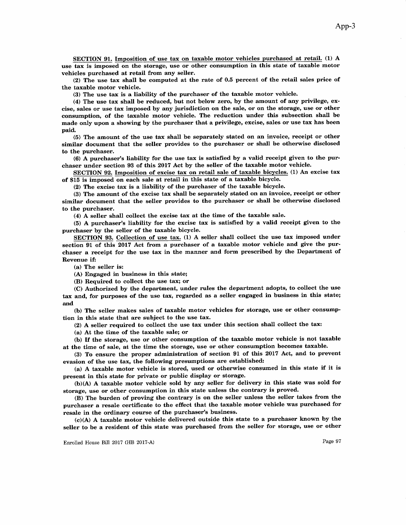SECTION 91. Imposition of use tax on taxable motor vehicles purchased at retail. (1) A use tax is imposed on the storage, use or other consurnption in this state of taxable motor vehicles purchased at retail from any seller.

(2) The use tax shall be computed at the rate of 0.5 percent of the retail sales price of the taxable motor vehicle.

(3) The use tax is a liability of the purchaser of the taxable motor vehicle.

 $(4)$  The use tax shall be reduced, but not below zero, by the amount of any privilege, excise, sales or use tax imposed by any jurisdiction on the sale, or on the storage, use or other consumption, of the taxable motor vehicle. The reduction under this subsection shall be made only upon a showing by the purchaser that a privilege, excise, sales or use tax has been paid.

(5) The amount of the use tax shall be separately stated on an invoice, receipt or other similar document that the seller provides to the purchaser or shall be otherwise disclosed to the purchaser.

(6) A purchaser's liability for the use tax is satisfred by a valid receipt given to the purchaser under section 93 of this 2017 Act by the seller of the taxable motor vehicle.

SECTION 92. Imposition of excise tax on retail sale of taxable bicvcles. (1) An excise tax of \$15 is imposed on each sale at retail in this state of a taxable bicycle.

 $(2)$  The excise tax is a liability of the purchaser of the taxable bicycle.

(3) The amount of the excise tax shall be separately stated on an invoice, receipt or other similar document that the seller provides to the purchaser or shall be otherwise disclosed to the purchaser.

(4) A seller shall collect the excise tax at the time of the taxable sale.

(5) A purchaset's liability for the excise tax is satisfred by a valid receipt given to the purchaser by the seller of the taxable bicycle.

SECTION 93. Collection of use tax. (1) A seller shall collect the use tax imposed under section 91 of this 2017 Act from a purchaser of a taxable motor vehicle and give the purchaser a receipt for the use tax in the manner and form prescribed by the Department of Revenue if:

(a) The seller is:

(A) Engaged in business in this state;

(B) Required to collect the use tax; or

(C) Authorized by the department, under rules the department adopts, to collect the use tax and, for purposes of the use tax, regarded as a seller engaged in business in this state; and

(b) The seller makes sales of taxable motor vehicles for storage, use or other consurnption in this state that are subject to the use tax.

(2) A seller required to collect the use tax under this section shall collect the tax:

(a) At the time of the taxable sale; or

(b) If the storage, use or other consumption of the taxable motor vehicle is not taxable at the time of sale, at the time the storage, use or other consumption becomes taxable.

(8) To ensure the proper administration of section 91 of this 2OL7 Act, and to prevent evasion of the use tax, the following presumptions are established:

(a) A taxable motor vehicle is stored, used or otherwise consumed in this state if it is present in this state for private or public display or storage.

 $(b)(A)$  A taxable motor vehicle sold by any seller for delivery in this state was sold for storage, use or other consumption in this state unless the contrary is proved.

(B) The burden of proving the contrary is on the seller unless the seller takes from the purchaser a resale certificate to the effect that the taxable motor vehicle was purchased for resale in the ordinary course of the purchaser's business.

 $(c)(A)$  A taxable motor vehicle delivered outside this state to a purchaser known by the seller to be a resident of this state was purchased from the seller for storage, use or other

Enrolled House Bill 2017 (HB 2017-A) Page 97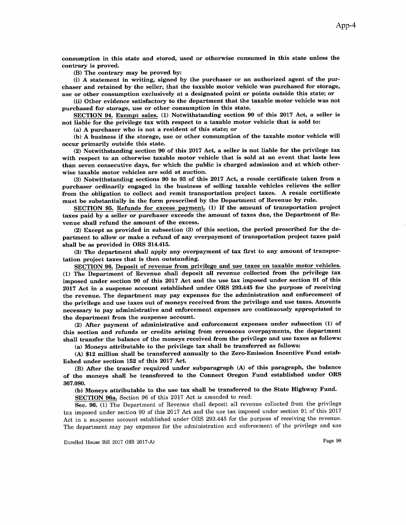consumption in this state and stored, used or otherwise consumed in this state unless the contrary is proved.

(B) The contrary may be proved by:

(i) A statement in writing, signed by the purchaser or an authorized agent of the purehaser and retained by the seller, that the taxable motor vehicle was purchased for storage, use or other consumption exclusively at a designated point or points outside this state; or

(ii) Other evidence satisfactory to the department that the taxable motor vehicle was not purchased for storage, use or other consumption in this state.

SECTION 94. Exempt sales. (1) Notwithstanding section 90 of this 2Ol7 Act, a seller is not liable for the privilege tax with respect to a taxable motor vehicle that is sold to:

(a) A purchaser who is not a resident of this state; or

(b) A business if the storage, use or other consumption of the taxable motor vehicle will occur primarily outside this state.

(2) Notwithstanding section 90 of this 2OL7 Act, a seller is not liable for the privilege tax with respect to an otherwise taxable motor vehicle that is sold at an event that lasts less than seven consecutive days, for which the public is charged admission and at which otherwise taxable motor vehicles are sold at auction.

(3) Notwithstanding sections 9O to 93 of this 2Ol7 Act, a resale certificate taken from a purchaser ordinarily engaged in the business of selling taxable vehicles relieves the seller from the obligation to collect and remit transportation project taxes. A resale certificate must be substantially in the form prescribed by the Department of Revenue by rule.

SECTION 95. Refunds for excess payment. (1) If the amount of transportation project taxes paid by a seller or purchaser exceeds the amount of taxes due, the Department of Revenue shall refund the amount of the excess.

 $(2)$  Except as provided in subsection  $(3)$  of this section, the period prescribed for the department to allow or make a refund of any overpayment of transportation project taxes paid shall be as provided in ORS 314.415.

(3) The department shall apply any overpayment of tax first to any amount of transportation project taxes that is then outstanding.

SECTION 96. Deposit of revenue from privilege and use taxes on taxable motor vehicles. (1) The Department of Revenue shall deposit all revenue collected from the privilege tax imposed under section 90 of this 2Ol7 Act and the use tax imposed under section 91 of this 2017 Act in a suspense account established under ORS 293.445 for the purpose of receiving the revenue. The department may pay expenses for the administration and enforcement of the privilege and use taxes out of moneys received from the privilege and use taxes. Amounts necessary to pay administrative and enforcement expenses are continuously appropriated to the department from the suspense account.

(2) After payment of administrative and enforcement expenses under subsection  $(1)$  of this section and refunds or credits arising from erroneous overpayments, the department shall transfer the balance of the moneys received from the privilege and use taxes as follows: (a) Moneys attributable to the privilege tax shall be transfened as follows:

(A) \$12 million shall be transfened annually to the Zero-Emission Incentive Fund established under section 152 of this 2017 Act.

(B) After the transfer required under subparagraph (A) of this paragraph, the balance of the moneys shall be transferred to the Connect Oregon Fund established under ORS 367.080.

(b) Moneys attributable to the use tax shall be transfened to the State Highway Fund. SECTION 96a. Section 96 of this 2017 Act is amended to read:

Sec. 96. (1) The Department of Revenue shall deposit all revenue collected from the privilege tax imposed under section 90 of this 2017 Act and the use tax imposed under section 91 of this 2017 Act in a suspense account established under ORS 293.445 for the purpose of receiving the revenue. The department may pay expenses for the administration and enforcement of the privilege and use

Enrolled House Bill 2017 (HB 2017-A) Page 98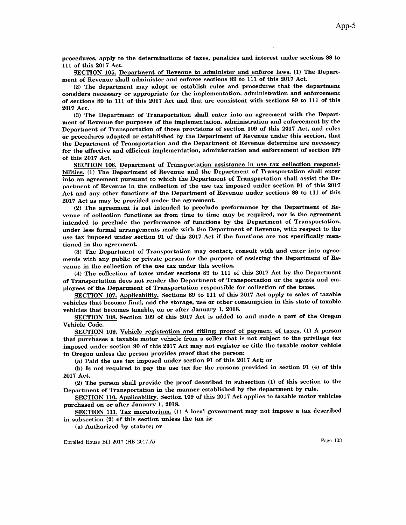sEcTroN 105. Department of Revenue to administer and enforce laws. (1) The Depart' ment of Revenue shall administer and enforce sections 89 to 111 of this 2017 Act.

(2) The department may adopt or establish rules and procedures that the department considers necessary or appropriate for the implementation, administration and enforcement of sections 89 to 111 of this 2Ol7 Act and that are consistent with sections 89 to 111 of this 2017 Act.

(3) The Department of Transportation shall enter into an agreement with the Department of Revenue for purposes of the implementation, administration and enforcement by the Department of Transportation of those provisions of section 109 of this 2017 Act, and rules or procedures adopted or established by the Department of Revenue under this section, that the Department of Transportation and the Department of Revenue determine are necessary for the effective and efficient implementation, administration and enforcement of section 109 of this 2Ol7 Act.

SECTION 106. Department of Transportation assistance in use tax collection responsibilities. (1) The Department of Revenue and the Department of Transportation shall enter into an agreement pursuant to which the Department of Transportation shall assist the Department of Revenue in the collection of the use tax imposed under section 91 of this 2017 Act and aay other functions of the Department of Revenue under sections 89 to 111 of this 2Ot7 Aet as may be provided under the agreement.

(2) The agreement is not intended to preclude perforrnance by the Department of Bevenue of collection functions as from time to time may be required, nor is the agreement intended to preclude the performance of functions by the Department of Transportation, under less formal arrangements made with the Department of Revenue, with respect to the use tax imposed under section 91 of this 2017 Act if the functions are not specifically mentioned in the agreement.

(3) The Department of Transportation may contact, consult with and enter into agreements with any public or private person for the purpose of assisting the Department of Revenue in the collection of the use tax under this section.

(4) The collection of taxes under sections 89 to 111 of this 2OL7 Act by the Department of Transportation does not render the Department of Transportation or the agents and employees of the Department of Transportation responsible for collection of the taxes.

SECTION 107. Applicability. Sections 89 to 111 of this 2017 Act apply to sales of taxable vehicles that become frnal, and the storage, use or other consumption in this state of taxable vehicles that becomes taxable, on or after January 1, 2018.

SECTION 108. Section 109 of this 2017 Act is added to and made a part of the Oregon Vehicle Code.

SECTION 109. Vehicle registration and titling; proof of payment of taxes. (1) A person that purchases a taxable motor vehicle from a seller that is not subject to the privilege tax imposed under section 90 of this 2O17 Act may not register or title the taxable motor vehicle in Oregon unless the person provides proof that the person:

(a) Paid the use tax imposed under section 91 of this  $2017$  Act; or

(b) Is not required to pay the use tax for the reasons provided in section 91 (4) of this 2017 Act.

(2) The person shall provide the proof described in subsection (1) of this section to the Department of Transportation in the manner established by the department by rule.

SECTION 110. Applicability. Section 109 of this 2017 Act applies to taxable motor vehicles purchased on or after January 1, 2018.

SECTION 111. Tax moratorium. (1) A local government may not impose a tax described in subsection (2) of this section unless the tax is:

(a) Authorized by statute; or

Enrolled House Bill 2017 (HB 2017-A) Page 103

App-5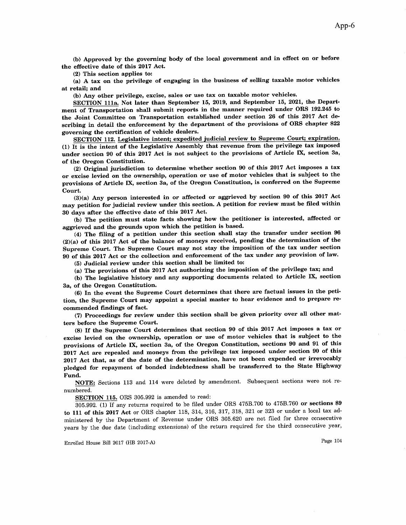(b) Approved by the governing body of the local government and in effect on or before the effective date of this 2Ol7 Act.

(2) This section applies to:

(a) A tax on the privilege of engaging in the business 6f sslling taxable motor vehicles at retail; and

(b) Any other privilege, excise, sales or use tax on taxable motor vehicles.

SECTION 111a. Not later than September 15, 2019, and September 15, 2021, the Department of Transportation shall submit reports in the manner required under ORS 192.245 to the Joint Committee on Transportation established under section 26 of this 2017 Act describing in detail the enforcement by the department of the provisions of ORS chapter 822 governing the cerüification of vehicle dealers.

SECTION 112. Legislative intent; expedited judicial review to Supreme Court; expiration. (1) It is the intent of the Legislative Assembly that revenue from the privilege tax imposed under section 90 of this 2017 Act is not subject to the provisions of Article IX, section 3a, of the Oregon Constitution.

(2) Original jurisdiction to determine whether section 90 of this 2017 Act imposes a tax or excise levied on the ownership, operation or use of motor vehicles that is subject to the provisions of Article IX, section 3a, of the Oregon Constitution, is conferred on the Supreme Court

 $(3)(a)$  Any person interested in or affected or aggrieved by section 90 of this 2017 Act may petition for judicial review under this section. A petition for review must be filed within 30 days after the effective date of this 2017 Act.

(b) The petition must state facts showing how the petitioner is interested, affected or aggrieved and the grounds upon which the petition is based.

(4) The frling of a petition under this section shall stay the transfer under section <sup>96</sup>  $(2)(a)$  of this 2017 Act of the balance of moneys received, pending the determination of the Supreme Court. The Supreme Court may not stay the imposition of the tax under section 90 of this 2017 Act or the collection and enforcement of the tax under any provision of law.

(5) Judicial review under this section shall be limited to:

(a) The provisions of this 2Ol7 Act authorizing the imposition of the privilege tax; and

(b) The legislative history and any supporting documents related to Article IX, section 3a, of the Oregon Constitution.

(6) In the event the Supreme Court determines that there are factual issues in the petition, the Supreme Court may appoint a special master to hear evidence and to prepare recommended frndings of fact.

(Ð Proceedings for review under this section shall be given priority over all other matters before the Supreme Court.

(8) If the Supreme Court determines that section 90 of this 2017 Act imposes a tax or excise levied on the ownership, operation or use of motor vehicles that is subject to the provisions of Article DÇ section 3a, of the Oregon Constitution, sections 90 and 91 of this 2017 Act are repealed and moneys from the privilege tax imposed under section 90 of this 2017 Act that, as of the date of the determination, have not been expended or irrevocably pledged for repayment of bonded indebtedness shall be transferred to the State Highway Fund.

NOTE: Sections 113 and 114 were deleted by amendment. Subsequent sections were not renumbered.

SECTION 115. ORS 305.992 is amended to read:

305.992. (1) If any returns required to be fïled under ORS 4758.700 to 475B.760 or sections <sup>89</sup> to 111 of this 2017 Act or ORS chapter 118, 314, 316, 317, 318, 321 or 323 or under a local tax administered by the Department of Revenue under ORS 305.620 are not fïled for three consecutive years by the due date (including extensions) of the return required for the third consecutive year,

Enrolled House Bill 2017 (HB 2017-A) Page 104